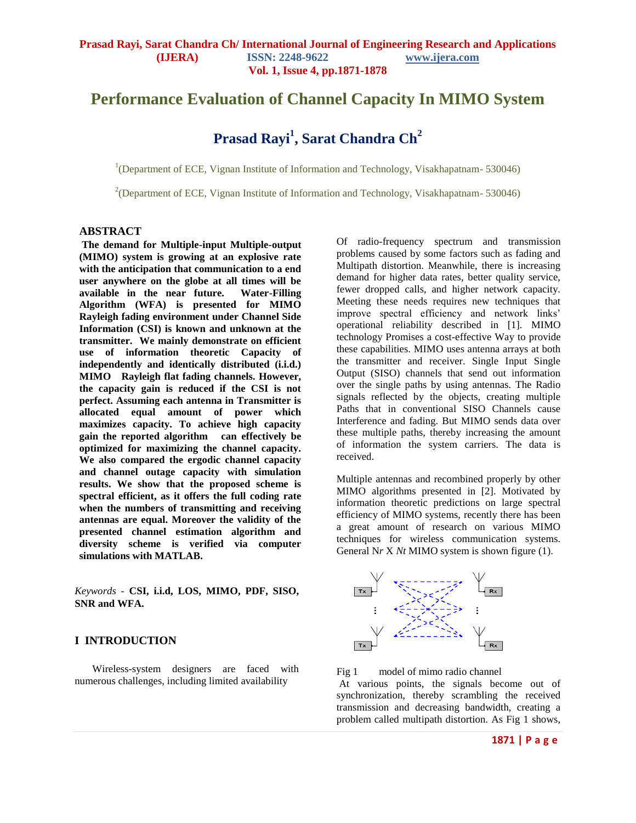## **Performance Evaluation of Channel Capacity In MIMO System**

# **Prasad Rayi<sup>1</sup> , Sarat Chandra Ch<sup>2</sup>**

<sup>1</sup>(Department of ECE, Vignan Institute of Information and Technology, Visakhapatnam-530046)

<sup>2</sup>(Department of ECE, Vignan Institute of Information and Technology, Visakhapatnam-530046)

#### **ABSTRACT**

**The demand for Multiple-input Multiple-output (MIMO) system is growing at an explosive rate with the anticipation that communication to a end user anywhere on the globe at all times will be available in the near future. Water-Filling Algorithm (WFA) is presented for MIMO Rayleigh fading environment under Channel Side Information (CSI) is known and unknown at the transmitter. We mainly demonstrate on efficient use of information theoretic Capacity of independently and identically distributed (i.i.d.) MIMO Rayleigh flat fading channels. However, the capacity gain is reduced if the CSI is not perfect. Assuming each antenna in Transmitter is allocated equal amount of power which maximizes capacity. To achieve high capacity gain the reported algorithm can effectively be optimized for maximizing the channel capacity. We also compared the ergodic channel capacity and channel outage capacity with simulation results. We show that the proposed scheme is spectral efficient, as it offers the full coding rate when the numbers of transmitting and receiving antennas are equal. Moreover the validity of the presented channel estimation algorithm and diversity scheme is verified via computer simulations with MATLAB.**

*Keywords -* **CSI, i.i.d, LOS, MIMO, PDF, SISO, SNR and WFA.**

## **I INTRODUCTION**

Wireless-system designers are faced with numerous challenges, including limited availability

Of radio-frequency spectrum and transmission problems caused by some factors such as fading and Multipath distortion. Meanwhile, there is increasing demand for higher data rates, better quality service, fewer dropped calls, and higher network capacity. Meeting these needs requires new techniques that improve spectral efficiency and network links' operational reliability described in [1]. MIMO technology Promises a cost-effective Way to provide these capabilities. MIMO uses antenna arrays at both the transmitter and receiver. Single Input Single Output (SISO) channels that send out information over the single paths by using antennas. The Radio signals reflected by the objects, creating multiple Paths that in conventional SISO Channels cause Interference and fading. But MIMO sends data over these multiple paths, thereby increasing the amount of information the system carriers. The data is received.

Multiple antennas and recombined properly by other MIMO algorithms presented in [2]. Motivated by information theoretic predictions on large spectral efficiency of MIMO systems, recently there has been a great amount of research on various MIMO techniques for wireless communication systems. General N*r* X *Nt* MIMO system is shown figure (1).



Fig 1 model of mimo radio channel At various points, the signals become out of synchronization, thereby scrambling the received transmission and decreasing bandwidth, creating a problem called multipath distortion. As Fig 1 shows,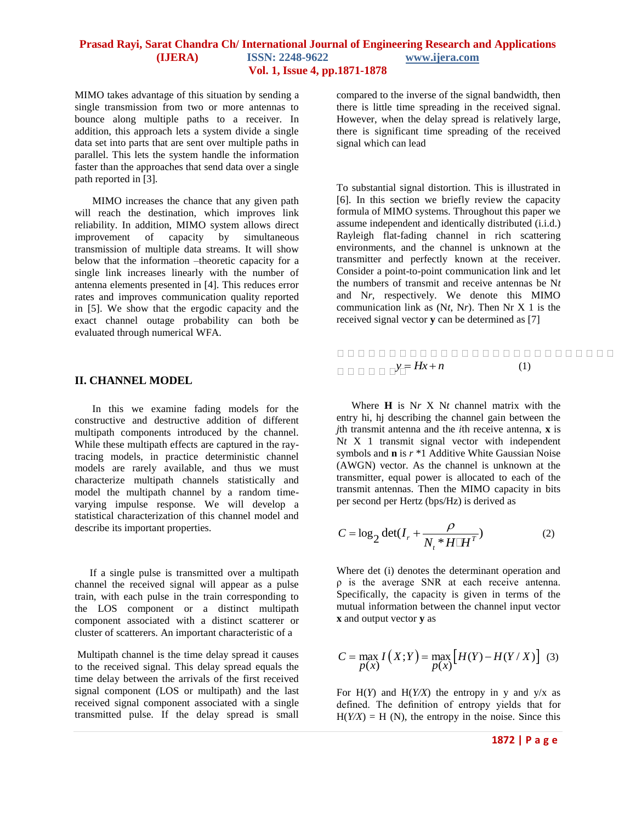MIMO takes advantage of this situation by sending a single transmission from two or more antennas to bounce along multiple paths to a receiver. In addition, this approach lets a system divide a single data set into parts that are sent over multiple paths in parallel. This lets the system handle the information faster than the approaches that send data over a single path reported in [3].

MIMO increases the chance that any given path will reach the destination, which improves link reliability. In addition, MIMO system allows direct improvement of capacity by simultaneous transmission of multiple data streams. It will show below that the information –theoretic capacity for a single link increases linearly with the number of antenna elements presented in [4]. This reduces error rates and improves communication quality reported in [5]. We show that the ergodic capacity and the exact channel outage probability can both be evaluated through numerical WFA.

#### **II. CHANNEL MODEL**

In this we examine fading models for the constructive and destructive addition of different multipath components introduced by the channel. While these multipath effects are captured in the raytracing models, in practice deterministic channel models are rarely available, and thus we must characterize multipath channels statistically and model the multipath channel by a random timevarying impulse response. We will develop a statistical characterization of this channel model and describe its important properties.

If a single pulse is transmitted over a multipath channel the received signal will appear as a pulse train, with each pulse in the train corresponding to the LOS component or a distinct multipath component associated with a distinct scatterer or cluster of scatterers. An important characteristic of a

Multipath channel is the time delay spread it causes to the received signal. This delay spread equals the time delay between the arrivals of the first received signal component (LOS or multipath) and the last received signal component associated with a single transmitted pulse. If the delay spread is small

compared to the inverse of the signal bandwidth, then there is little time spreading in the received signal. However, when the delay spread is relatively large, there is significant time spreading of the received signal which can lead

To substantial signal distortion. This is illustrated in [6]. In this section we briefly review the capacity formula of MIMO systems. Throughout this paper we assume independent and identically distributed (i.i.d.) Rayleigh flat-fading channel in rich scattering environments, and the channel is unknown at the transmitter and perfectly known at the receiver. Consider a point-to-point communication link and let the numbers of transmit and receive antennas be N*t*  and N*r,* respectively. We denote this MIMO communication link as (N*t*, N*r*). Then Nr X 1 is the received signal vector **y** can be determined as [7]

## $\Box$   $\Box$   $\Box$   $\Box$   $\Box$   $\Box$   $Hx+n$  (1)

Where **H** is N*r* X N*t* channel matrix with the entry hi, hj describing the channel gain between the *j*th transmit antenna and the *i*th receive antenna, **x** is Nt X 1 transmit signal vector with independent symbols and **n** is *r* \*1 Additive White Gaussian Noise (AWGN) vector. As the channel is unknown at the transmitter, equal power is allocated to each of the transmit antennas. Then the MIMO capacity in bits per second per Hertz (bps/Hz) is derived as

$$
C = \log_2 \det(I_r + \frac{\rho}{N_t * H \sqcup H^T})
$$
 (2)

Where det (i) denotes the determinant operation and ρ is the average SNR at each receive antenna. Specifically, the capacity is given in terms of the mutual information between the channel input vector **x** and output vector **y** as

$$
C = \max_{P(X)} I(X;Y) = \max_{P(X)} [H(Y) - H(Y/X)] \quad (3)
$$

For  $H(Y)$  and  $H(Y/X)$  the entropy in y and  $y/x$  as defined. The definition of entropy yields that for  $H(Y/X) = H(N)$ , the entropy in the noise. Since this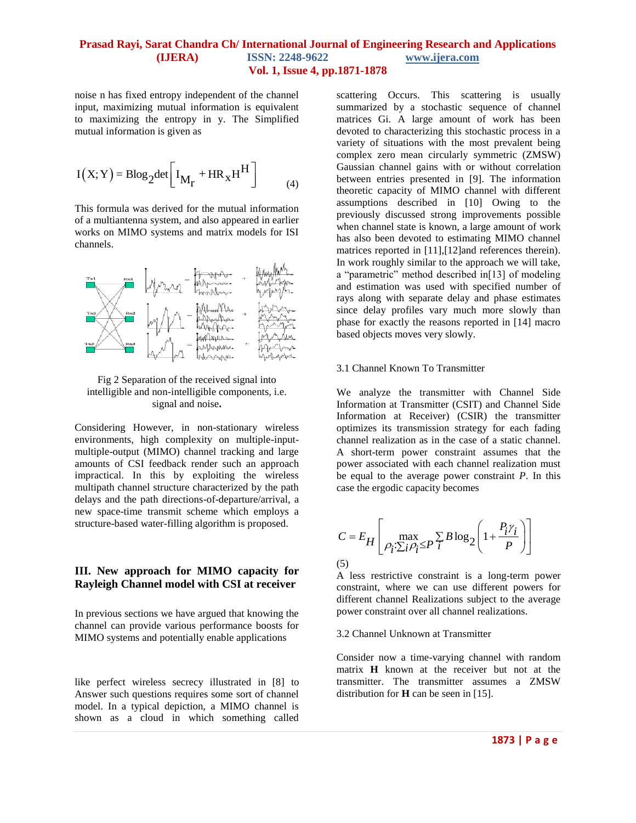noise n has fixed entropy independent of the channel input, maximizing mutual information is equivalent to maximizing the entropy in y. The Simplified mutual information is given as

$$
I(X;Y) = B \log_2 \det \left[ I_{M_r} + HR_X H^H \right]
$$
 (4)

This formula was derived for the mutual information of a multiantenna system, and also appeared in earlier works on MIMO systems and matrix models for ISI channels.



Fig 2 Separation of the received signal into intelligible and non-intelligible components, i.e. signal and noise**.**

Considering However, in non-stationary wireless environments, high complexity on multiple-inputmultiple-output (MIMO) channel tracking and large amounts of CSI feedback render such an approach impractical. In this by exploiting the wireless multipath channel structure characterized by the path delays and the path directions-of-departure/arrival, a new space-time transmit scheme which employs a structure-based water-filling algorithm is proposed.

## **III. New approach for MIMO capacity for Rayleigh Channel model with CSI at receiver**

In previous sections we have argued that knowing the channel can provide various performance boosts for MIMO systems and potentially enable applications

like perfect wireless secrecy illustrated in [8] to Answer such questions requires some sort of channel model. In a typical depiction, a MIMO channel is shown as a cloud in which something called

scattering Occurs. This scattering is usually summarized by a stochastic sequence of channel matrices Gi. A large amount of work has been devoted to characterizing this stochastic process in a variety of situations with the most prevalent being complex zero mean circularly symmetric (ZMSW) Gaussian channel gains with or without correlation between entries presented in [9]. The information theoretic capacity of MIMO channel with different assumptions described in [10] Owing to the previously discussed strong improvements possible when channel state is known, a large amount of work has also been devoted to estimating MIMO channel matrices reported in [11],[12]and references therein). In work roughly similar to the approach we will take, a "parametric" method described in[13] of modeling and estimation was used with specified number of rays along with separate delay and phase estimates since delay profiles vary much more slowly than phase for exactly the reasons reported in [14] macro based objects moves very slowly.

#### 3.1 Channel Known To Transmitter

We analyze the transmitter with Channel Side Information at Transmitter (CSIT) and Channel Side Information at Receiver) (CSIR) the transmitter optimizes its transmission strategy for each fading channel realization as in the case of a static channel. A short-term power constraint assumes that the power associated with each channel realization must be equal to the average power constraint *P*. In this case the ergodic capacity becomes

$$
C = E_H \left[ \max_{\rho_i : \sum_i \rho_i \le P} \sum_i B \log_2 \left( 1 + \frac{P_i \gamma_i}{P} \right) \right]
$$
\n(5)

A less restrictive constraint is a long-term power constraint, where we can use different powers for different channel Realizations subject to the average power constraint over all channel realizations.

#### 3.2 Channel Unknown at Transmitter

Consider now a time-varying channel with random matrix **H** known at the receiver but not at the transmitter. The transmitter assumes a ZMSW distribution for **H** can be seen in [15].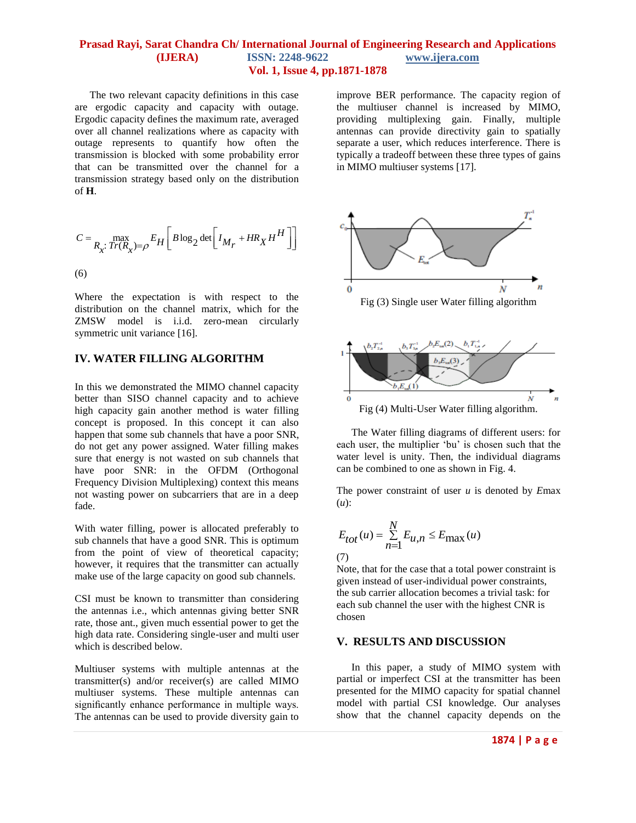The two relevant capacity definitions in this case are ergodic capacity and capacity with outage. Ergodic capacity defines the maximum rate, averaged over all channel realizations where as capacity with outage represents to quantify how often the transmission is blocked with some probability error that can be transmitted over the channel for a transmission strategy based only on the distribution of **H**.

$$
C = \max_{R_x: Tr(R_x) = \rho} E_H \left[ B \log_2 \det \left[ I_{M_r} + HR_X H^H \right] \right]
$$
\n(6)

Where the expectation is with respect to the distribution on the channel matrix, which for the ZMSW model is i.i.d. zero-mean circularly symmetric unit variance [16].

## **IV. WATER FILLING ALGORITHM**

In this we demonstrated the MIMO channel capacity better than SISO channel capacity and to achieve high capacity gain another method is water filling concept is proposed. In this concept it can also happen that some sub channels that have a poor SNR, do not get any power assigned. Water filling makes sure that energy is not wasted on sub channels that have poor SNR: in the OFDM (Orthogonal Frequency Division Multiplexing) context this means not wasting power on subcarriers that are in a deep fade.

With water filling, power is allocated preferably to sub channels that have a good SNR. This is optimum from the point of view of theoretical capacity; however, it requires that the transmitter can actually make use of the large capacity on good sub channels.

CSI must be known to transmitter than considering the antennas i.e., which antennas giving better SNR rate, those ant., given much essential power to get the high data rate. Considering single-user and multi user which is described below.

Multiuser systems with multiple antennas at the transmitter(s) and/or receiver(s) are called MIMO multiuser systems. These multiple antennas can significantly enhance performance in multiple ways. The antennas can be used to provide diversity gain to

improve BER performance. The capacity region of the multiuser channel is increased by MIMO, providing multiplexing gain. Finally, multiple antennas can provide directivity gain to spatially separate a user, which reduces interference. There is typically a tradeoff between these three types of gains in MIMO multiuser systems [17].



Fig (4) Multi-User Water filling algorithm.

The Water filling diagrams of different users: for each user, the multiplier "bu" is chosen such that the water level is unity. Then, the individual diagrams can be combined to one as shown in Fig. 4.

The power constraint of user *u* is denoted by *E*max (*u*):

$$
E_{tot}(u) = \sum_{n=1}^{N} E_{u,n} \le E_{\text{max}}(u)
$$
\n(7)

Note, that for the case that a total power constraint is given instead of user-individual power constraints, the sub carrier allocation becomes a trivial task: for each sub channel the user with the highest CNR is chosen

## **V. RESULTS AND DISCUSSION**

In this paper, a study of MIMO system with partial or imperfect CSI at the transmitter has been presented for the MIMO capacity for spatial channel model with partial CSI knowledge. Our analyses show that the channel capacity depends on the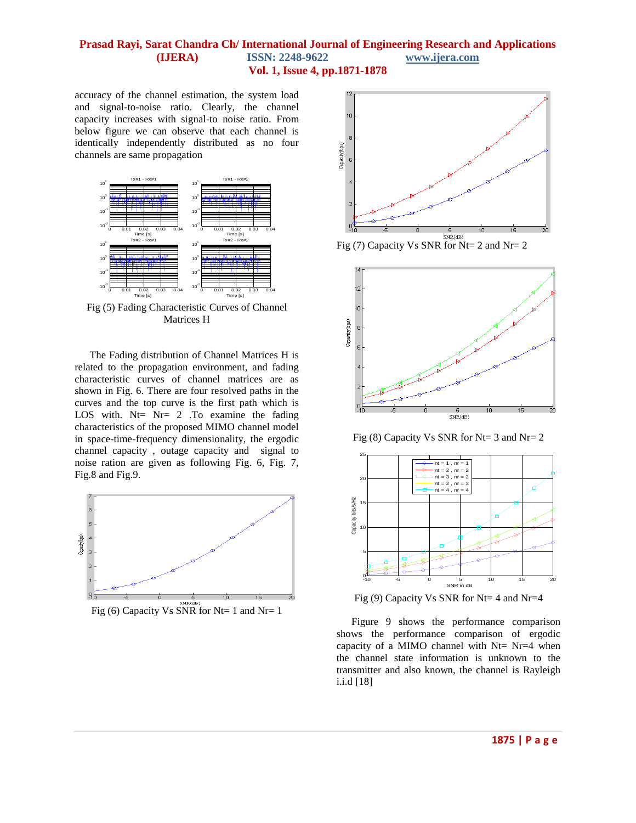accuracy of the channel estimation, the system load and signal-to-noise ratio. Clearly, the channel capacity increases with signal-to noise ratio. From below figure we can observe that each channel is identically independently distributed as no four channels are same propagation



Fig (5) Fading Characteristic Curves of Channel Matrices H

The Fading distribution of Channel Matrices H is related to the propagation environment, and fading characteristic curves of channel matrices are as shown in Fig. 6. There are four resolved paths in the curves and the top curve is the first path which is LOS with. Nt= Nr= 2 .To examine the fading characteristics of the proposed MIMO channel model in space-time-frequency dimensionality, the ergodic channel capacity , outage capacity and signal to noise ration are given as following Fig. 6, Fig. 7, Fig.8 and Fig.9.





Fig (7) Capacity Vs SNR for Nt= 2 and Nr= 2



Fig (8) Capacity Vs SNR for Nt= 3 and Nr= 2



Fig (9) Capacity Vs SNR for Nt= 4 and Nr=4

Figure 9 shows the performance comparison shows the performance comparison of ergodic capacity of a MIMO channel with Nt= Nr=4 when the channel state information is unknown to the transmitter and also known, the channel is Rayleigh i.i.d [18]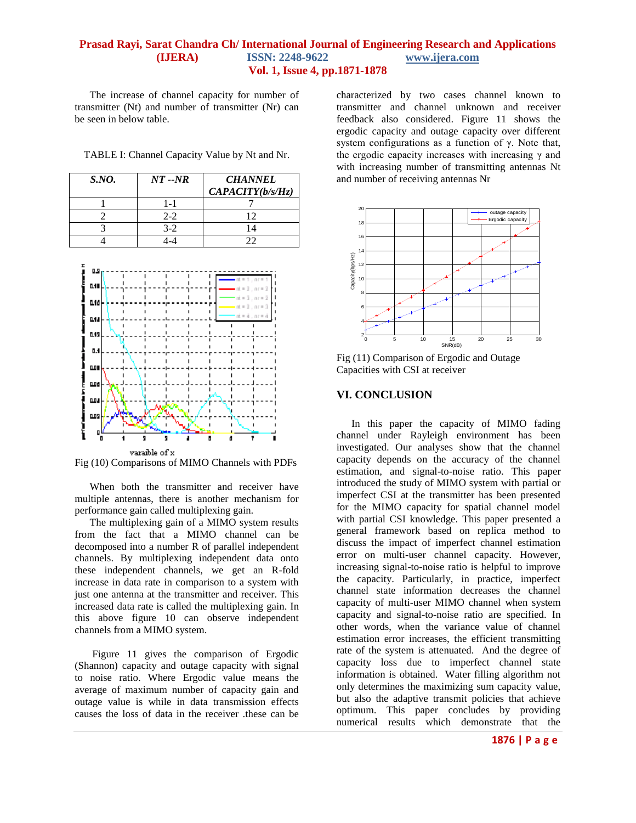The increase of channel capacity for number of transmitter (Nt) and number of transmitter (Nr) can be seen in below table.

TABLE I: Channel Capacity Value by Nt and Nr.

| <i>S.NO.</i> | $NT - NR$ | <b>CHANNEL</b>   |
|--------------|-----------|------------------|
|              |           | CAPACITY(b/s/Hz) |
|              | 1-1       |                  |
|              | $2 - 2$   |                  |
|              | $3 - 2$   |                  |
|              |           |                  |



Fig (10) Comparisons of MIMO Channels with PDFs

When both the transmitter and receiver have multiple antennas, there is another mechanism for performance gain called multiplexing gain.

The multiplexing gain of a MIMO system results from the fact that a MIMO channel can be decomposed into a number R of parallel independent channels. By multiplexing independent data onto these independent channels, we get an R-fold increase in data rate in comparison to a system with just one antenna at the transmitter and receiver. This increased data rate is called the multiplexing gain. In this above figure 10 can observe independent channels from a MIMO system.

Figure 11 gives the comparison of Ergodic (Shannon) capacity and outage capacity with signal to noise ratio. Where Ergodic value means the average of maximum number of capacity gain and outage value is while in data transmission effects causes the loss of data in the receiver .these can be

characterized by two cases channel known to transmitter and channel unknown and receiver feedback also considered. Figure 11 shows the ergodic capacity and outage capacity over different system configurations as a function of γ. Note that, the ergodic capacity increases with increasing  $γ$  and with increasing number of transmitting antennas Nt and number of receiving antennas Nr



Fig (11) Comparison of Ergodic and Outage Capacities with CSI at receiver

### **VI. CONCLUSION**

In this paper the capacity of MIMO fading channel under Rayleigh environment has been investigated. Our analyses show that the channel capacity depends on the accuracy of the channel estimation, and signal-to-noise ratio. This paper introduced the study of MIMO system with partial or imperfect CSI at the transmitter has been presented for the MIMO capacity for spatial channel model with partial CSI knowledge. This paper presented a general framework based on replica method to discuss the impact of imperfect channel estimation error on multi-user channel capacity. However, increasing signal-to-noise ratio is helpful to improve the capacity. Particularly, in practice, imperfect channel state information decreases the channel capacity of multi-user MIMO channel when system capacity and signal-to-noise ratio are specified. In other words, when the variance value of channel estimation error increases, the efficient transmitting rate of the system is attenuated. And the degree of capacity loss due to imperfect channel state information is obtained. Water filling algorithm not only determines the maximizing sum capacity value, but also the adaptive transmit policies that achieve optimum. This paper concludes by providing numerical results which demonstrate that the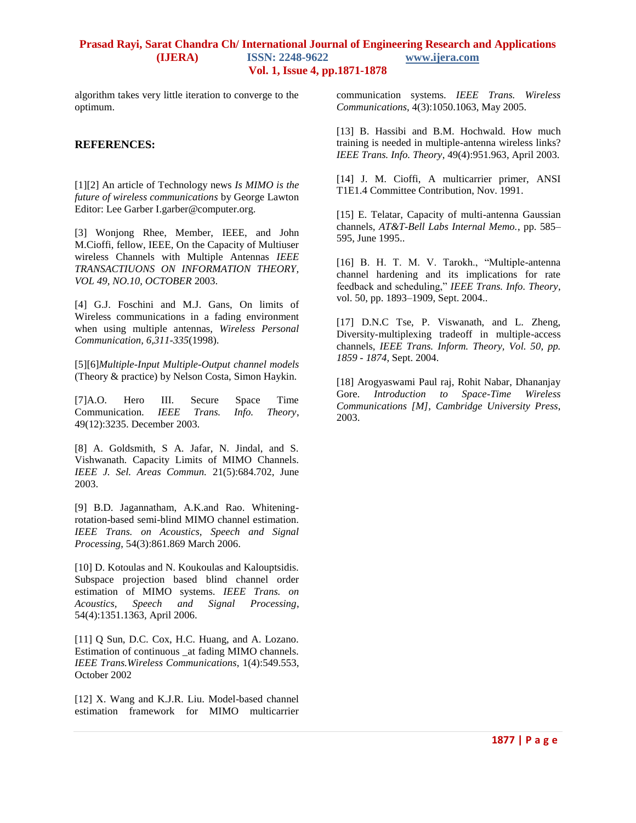algorithm takes very little iteration to converge to the optimum.

#### **REFERENCES:**

[1][2] An article of Technology news *Is MIMO is the future of wireless communications* by George Lawton Editor: Lee Garber I.garber@computer.org.

[3] Wonjong Rhee, Member, IEEE, and John M.Cioffi, fellow, IEEE, On the Capacity of Multiuser wireless Channels with Multiple Antennas *IEEE TRANSACTIUONS ON INFORMATION THEORY, VOL 49, NO.10, OCTOBER* 2003.

[4] G.J. Foschini and M.J. Gans, On limits of Wireless communications in a fading environment when using multiple antennas, *Wireless Personal Communication, 6,311-335*(1998).

[5][6]*Multiple-Input Multiple-Output channel models* (Theory & practice) by Nelson Costa, Simon Haykin.

[7]A.O. Hero III. Secure Space Time Communication. *IEEE Trans. Info. Theory*, 49(12):3235. December 2003.

[8] A. Goldsmith, S A. Jafar, N. Jindal, and S. Vishwanath. Capacity Limits of MIMO Channels. *IEEE J. Sel. Areas Commun.* 21(5):684.702, June 2003.

[9] B.D. Jagannatham, A.K.and Rao. Whiteningrotation-based semi-blind MIMO channel estimation. *IEEE Trans. on Acoustics, Speech and Signal Processing*, 54(3):861.869 March 2006.

[10] D. Kotoulas and N. Koukoulas and Kalouptsidis. Subspace projection based blind channel order estimation of MIMO systems. *IEEE Trans. on Acoustics, Speech and Signal Processing*, 54(4):1351.1363, April 2006.

[11] Q Sun, D.C. Cox, H.C. Huang, and A. Lozano. Estimation of continuous \_at fading MIMO channels. *IEEE Trans.Wireless Communications*, 1(4):549.553, October 2002

[12] X. Wang and K.J.R. Liu. Model-based channel estimation framework for MIMO multicarrier

communication systems. *IEEE Trans. Wireless Communications*, 4(3):1050.1063, May 2005.

[13] B. Hassibi and B.M. Hochwald. How much training is needed in multiple-antenna wireless links? *IEEE Trans. Info. Theory*, 49(4):951.963, April 2003.

[14] J. M. Cioffi, A multicarrier primer, ANSI T1E1.4 Committee Contribution, Nov. 1991.

[15] E. Telatar, Capacity of multi-antenna Gaussian channels, *AT&T-Bell Labs Internal Memo.*, pp. 585– 595, June 1995..

[16] B. H. T. M. V. Tarokh., "Multiple-antenna channel hardening and its implications for rate feedback and scheduling," *IEEE Trans. Info. Theory*, vol. 50, pp. 1893–1909, Sept. 2004..

[17] D.N.C Tse, P. Viswanath, and L. Zheng, Diversity-multiplexing tradeoff in multiple-access channels, *IEEE Trans. Inform. Theory, Vol. 50, pp. 1859 - 1874*, Sept. 2004.

[18] Arogyaswami Paul raj, Rohit Nabar, Dhananjay Gore. *Introduction to Space-Time Wireless Communications [M], Cambridge University Press*, 2003.